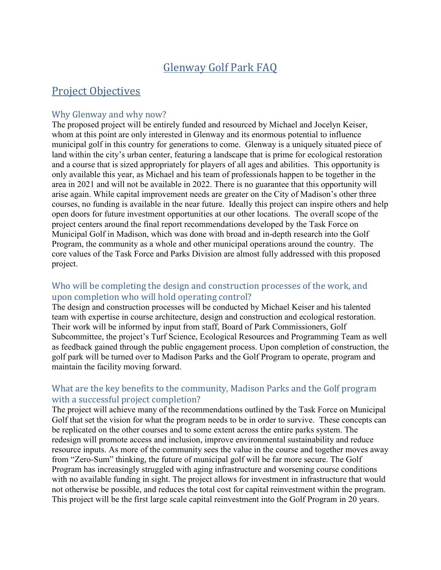# Glenway Golf Park FAQ

## Project Objectives

#### Why Glenway and why now?

The proposed project will be entirely funded and resourced by Michael and Jocelyn Keiser, whom at this point are only interested in Glenway and its enormous potential to influence municipal golf in this country for generations to come. Glenway is a uniquely situated piece of land within the city's urban center, featuring a landscape that is prime for ecological restoration and a course that is sized appropriately for players of all ages and abilities. This opportunity is only available this year, as Michael and his team of professionals happen to be together in the area in 2021 and will not be available in 2022. There is no guarantee that this opportunity will arise again. While capital improvement needs are greater on the City of Madison's other three courses, no funding is available in the near future. Ideally this project can inspire others and help open doors for future investment opportunities at our other locations. The overall scope of the project centers around the final report recommendations developed by the Task Force on Municipal Golf in Madison, which was done with broad and in-depth research into the Golf Program, the community as a whole and other municipal operations around the country. The core values of the Task Force and Parks Division are almost fully addressed with this proposed project.

### Who will be completing the design and construction processes of the work, and upon completion who will hold operating control?

The design and construction processes will be conducted by Michael Keiser and his talented team with expertise in course architecture, design and construction and ecological restoration. Their work will be informed by input from staff, Board of Park Commissioners, Golf Subcommittee, the project's Turf Science, Ecological Resources and Programming Team as well as feedback gained through the public engagement process. Upon completion of construction, the golf park will be turned over to Madison Parks and the Golf Program to operate, program and maintain the facility moving forward.

### What are the key benefits to the community, Madison Parks and the Golf program with a successful project completion?

The project will achieve many of the recommendations outlined by the Task Force on Municipal Golf that set the vision for what the program needs to be in order to survive. These concepts can be replicated on the other courses and to some extent across the entire parks system. The redesign will promote access and inclusion, improve environmental sustainability and reduce resource inputs. As more of the community sees the value in the course and together moves away from "Zero-Sum" thinking, the future of municipal golf will be far more secure. The Golf Program has increasingly struggled with aging infrastructure and worsening course conditions with no available funding in sight. The project allows for investment in infrastructure that would not otherwise be possible, and reduces the total cost for capital reinvestment within the program. This project will be the first large scale capital reinvestment into the Golf Program in 20 years.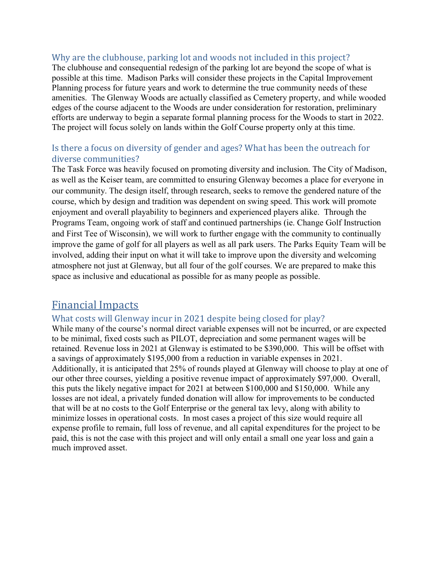#### Why are the clubhouse, parking lot and woods not included in this project?

The clubhouse and consequential redesign of the parking lot are beyond the scope of what is possible at this time. Madison Parks will consider these projects in the Capital Improvement Planning process for future years and work to determine the true community needs of these amenities. The Glenway Woods are actually classified as Cemetery property, and while wooded edges of the course adjacent to the Woods are under consideration for restoration, preliminary efforts are underway to begin a separate formal planning process for the Woods to start in 2022. The project will focus solely on lands within the Golf Course property only at this time.

### Is there a focus on diversity of gender and ages? What has been the outreach for diverse communities?

The Task Force was heavily focused on promoting diversity and inclusion. The City of Madison, as well as the Keiser team, are committed to ensuring Glenway becomes a place for everyone in our community. The design itself, through research, seeks to remove the gendered nature of the course, which by design and tradition was dependent on swing speed. This work will promote enjoyment and overall playability to beginners and experienced players alike. Through the Programs Team, ongoing work of staff and continued partnerships (ie. Change Golf Instruction and First Tee of Wisconsin), we will work to further engage with the community to continually improve the game of golf for all players as well as all park users. The Parks Equity Team will be involved, adding their input on what it will take to improve upon the diversity and welcoming atmosphere not just at Glenway, but all four of the golf courses. We are prepared to make this space as inclusive and educational as possible for as many people as possible.

## Financial Impacts

### What costs will Glenway incur in 2021 despite being closed for play?

While many of the course's normal direct variable expenses will not be incurred, or are expected to be minimal, fixed costs such as PILOT, depreciation and some permanent wages will be retained. Revenue loss in 2021 at Glenway is estimated to be \$390,000. This will be offset with a savings of approximately \$195,000 from a reduction in variable expenses in 2021. Additionally, it is anticipated that 25% of rounds played at Glenway will choose to play at one of our other three courses, yielding a positive revenue impact of approximately \$97,000. Overall, this puts the likely negative impact for 2021 at between \$100,000 and \$150,000. While any losses are not ideal, a privately funded donation will allow for improvements to be conducted that will be at no costs to the Golf Enterprise or the general tax levy, along with ability to minimize losses in operational costs. In most cases a project of this size would require all expense profile to remain, full loss of revenue, and all capital expenditures for the project to be paid, this is not the case with this project and will only entail a small one year loss and gain a much improved asset.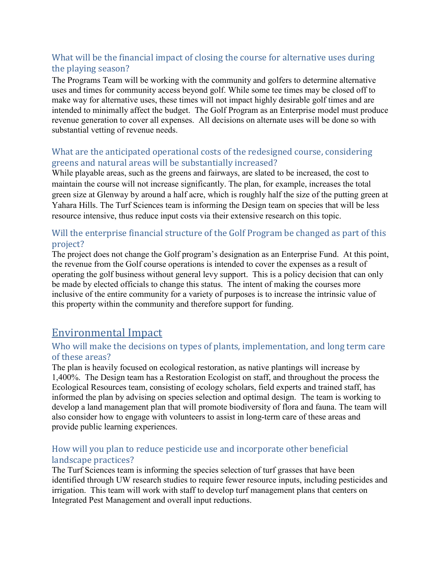## What will be the financial impact of closing the course for alternative uses during the playing season?

The Programs Team will be working with the community and golfers to determine alternative uses and times for community access beyond golf. While some tee times may be closed off to make way for alternative uses, these times will not impact highly desirable golf times and are intended to minimally affect the budget. The Golf Program as an Enterprise model must produce revenue generation to cover all expenses. All decisions on alternate uses will be done so with substantial vetting of revenue needs.

## What are the anticipated operational costs of the redesigned course, considering greens and natural areas will be substantially increased?

While playable areas, such as the greens and fairways, are slated to be increased, the cost to maintain the course will not increase significantly. The plan, for example, increases the total green size at Glenway by around a half acre, which is roughly half the size of the putting green at Yahara Hills. The Turf Sciences team is informing the Design team on species that will be less resource intensive, thus reduce input costs via their extensive research on this topic.

## Will the enterprise financial structure of the Golf Program be changed as part of this project?

The project does not change the Golf program's designation as an Enterprise Fund. At this point, the revenue from the Golf course operations is intended to cover the expenses as a result of operating the golf business without general levy support. This is a policy decision that can only be made by elected officials to change this status. The intent of making the courses more inclusive of the entire community for a variety of purposes is to increase the intrinsic value of this property within the community and therefore support for funding.

## Environmental Impact

## Who will make the decisions on types of plants, implementation, and long term care of these areas?

The plan is heavily focused on ecological restoration, as native plantings will increase by 1,400%. The Design team has a Restoration Ecologist on staff, and throughout the process the Ecological Resources team, consisting of ecology scholars, field experts and trained staff, has informed the plan by advising on species selection and optimal design. The team is working to develop a land management plan that will promote biodiversity of flora and fauna. The team will also consider how to engage with volunteers to assist in long-term care of these areas and provide public learning experiences.

### How will you plan to reduce pesticide use and incorporate other beneficial landscape practices?

The Turf Sciences team is informing the species selection of turf grasses that have been identified through UW research studies to require fewer resource inputs, including pesticides and irrigation. This team will work with staff to develop turf management plans that centers on Integrated Pest Management and overall input reductions.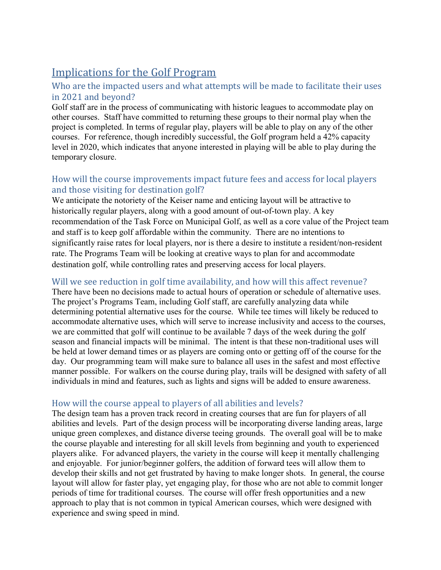# Implications for the Golf Program

## Who are the impacted users and what attempts will be made to facilitate their uses in 2021 and beyond?

Golf staff are in the process of communicating with historic leagues to accommodate play on other courses. Staff have committed to returning these groups to their normal play when the project is completed. In terms of regular play, players will be able to play on any of the other courses. For reference, though incredibly successful, the Golf program held a 42% capacity level in 2020, which indicates that anyone interested in playing will be able to play during the temporary closure.

## How will the course improvements impact future fees and access for local players and those visiting for destination golf?

We anticipate the notoriety of the Keiser name and enticing layout will be attractive to historically regular players, along with a good amount of out-of-town play. A key recommendation of the Task Force on Municipal Golf, as well as a core value of the Project team and staff is to keep golf affordable within the community. There are no intentions to significantly raise rates for local players, nor is there a desire to institute a resident/non-resident rate. The Programs Team will be looking at creative ways to plan for and accommodate destination golf, while controlling rates and preserving access for local players.

### Will we see reduction in golf time availability, and how will this affect revenue?

There have been no decisions made to actual hours of operation or schedule of alternative uses. The project's Programs Team, including Golf staff, are carefully analyzing data while determining potential alternative uses for the course. While tee times will likely be reduced to accommodate alternative uses, which will serve to increase inclusivity and access to the courses, we are committed that golf will continue to be available 7 days of the week during the golf season and financial impacts will be minimal. The intent is that these non-traditional uses will be held at lower demand times or as players are coming onto or getting off of the course for the day. Our programming team will make sure to balance all uses in the safest and most effective manner possible. For walkers on the course during play, trails will be designed with safety of all individuals in mind and features, such as lights and signs will be added to ensure awareness.

### How will the course appeal to players of all abilities and levels?

The design team has a proven track record in creating courses that are fun for players of all abilities and levels. Part of the design process will be incorporating diverse landing areas, large unique green complexes, and distance diverse teeing grounds. The overall goal will be to make the course playable and interesting for all skill levels from beginning and youth to experienced players alike. For advanced players, the variety in the course will keep it mentally challenging and enjoyable. For junior/beginner golfers, the addition of forward tees will allow them to develop their skills and not get frustrated by having to make longer shots. In general, the course layout will allow for faster play, yet engaging play, for those who are not able to commit longer periods of time for traditional courses. The course will offer fresh opportunities and a new approach to play that is not common in typical American courses, which were designed with experience and swing speed in mind.